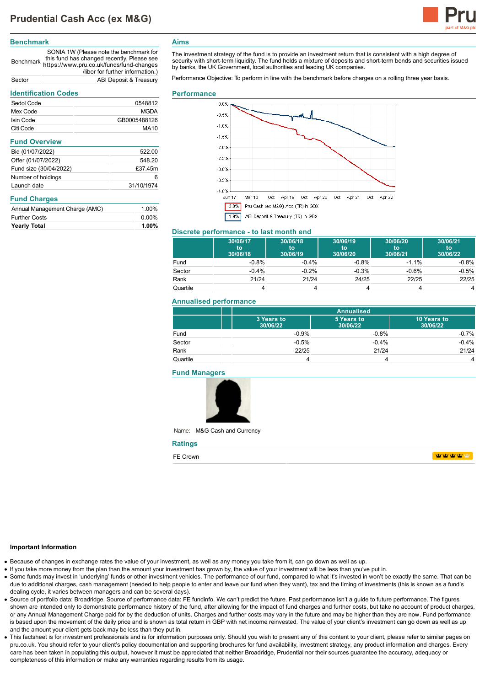

# **Benchmark**

Benchmark https://www.pru.co.uk/funds/fund-changes SONIA 1W (Please note the benchmark for this fund has changed recently. Please see /libor for further information.) Sector ABI Deposit & Treasury

## **Identification Codes**

| identification Codes           |              |
|--------------------------------|--------------|
| Sedol Code                     | 0548812      |
| Mex Code                       | MGDA         |
| Isin Code                      | GB0005488126 |
| Citi Code                      | MA10         |
| <b>Fund Overview</b>           |              |
| Bid (01/07/2022)               | 522.00       |
| Offer (01/07/2022)             | 548.20       |
| Fund size (30/04/2022)         | £37.45m      |
| Number of holdings             | 6            |
| Launch date                    | 31/10/1974   |
| <b>Fund Charges</b>            |              |
| Annual Management Charge (AMC) | 1.00%        |
| <b>Further Costs</b>           | $0.00\%$     |
| Yearly Total                   | 1.00%        |

## **Aims**

The investment strategy of the fund is to provide an investment return that is consistent with a high degree of security with short-term liquidity. The fund holds a mixture of deposits and short-term bonds and securities issued by banks, the UK Government, local authorities and leading UK companies.

Performance Objective: To perform in line with the benchmark before charges on a rolling three year basis.

#### **Performance**



## **Discrete performance - to last month end**

|          | 30/06/17<br>to<br>30/06/18 | 30/06/18<br>to<br>30/06/19 | 30/06/19<br>to<br>30/06/20 | 30/06/20<br>to<br>30/06/21 | 30/06/21<br>to<br>30/06/22 |
|----------|----------------------------|----------------------------|----------------------------|----------------------------|----------------------------|
| Fund     | $-0.8%$                    | $-0.4%$                    | $-0.8%$                    | $-1.1\%$                   | $-0.8%$                    |
| Sector   | $-0.4%$                    | $-0.2%$                    | $-0.3%$                    | $-0.6%$                    | $-0.5%$                    |
| Rank     | 21/24                      | 21/24                      | 24/25                      | 22/25                      | 22/25                      |
| Quartile |                            |                            |                            |                            | 4                          |

#### **Annualised performance**

|          |                        | <b>Annualised</b>      |                         |  |
|----------|------------------------|------------------------|-------------------------|--|
|          | 3 Years to<br>30/06/22 | 5 Years to<br>30/06/22 | 10 Years to<br>30/06/22 |  |
| Fund     | $-0.9%$                | $-0.8%$                | $-0.7%$                 |  |
| Sector   | $-0.5%$                | $-0.4%$                | $-0.4%$                 |  |
| Rank     | 22/25                  | 21/24                  | 21/24                   |  |
| Quartile |                        |                        | 4                       |  |

## **Fund Managers**



Name: M&G Cash and Currency

| <b>Ratings</b> |                 |
|----------------|-----------------|
| FE Crown       | <b>TARACTER</b> |

#### **Important Information**

- Because of changes in exchange rates the value of your investment, as well as any money you take from it, can go down as well as up.
- If you take more money from the plan than the amount your investment has grown by, the value of your investment will be less than you've put in.
- Some funds may invest in 'underlying' funds or other investment vehicles. The performance of our fund, compared to what it's invested in won't be exactly the same. That can be due to additional charges, cash management (needed to help people to enter and leave our fund when they want), tax and the timing of investments (this is known as a fund's dealing cycle, it varies between managers and can be several days).
- Source of portfolio data: Broadridge. Source of performance data: FE fundinfo. We can't predict the future. Past performance isn't a guide to future performance. The figures shown are intended only to demonstrate performance history of the fund, after allowing for the impact of fund charges and further costs, but take no account of product charges, or any Annual Management Charge paid for by the deduction of units. Charges and further costs may vary in the future and may be higher than they are now. Fund performance is based upon the movement of the daily price and is shown as total return in GBP with net income reinvested. The value of your client's investment can go down as well as up and the amount your client gets back may be less than they put in.
- This factsheet is for investment professionals and is for information purposes only. Should you wish to present any of this content to your client, please refer to similar pages on pru.co.uk. You should refer to your client's policy documentation and supporting brochures for fund availability, investment strategy, any product information and charges. Every care has been taken in populating this output, however it must be appreciated that neither Broadridge, Prudential nor their sources guarantee the accuracy, adequacy or completeness of this information or make any warranties regarding results from its usage.